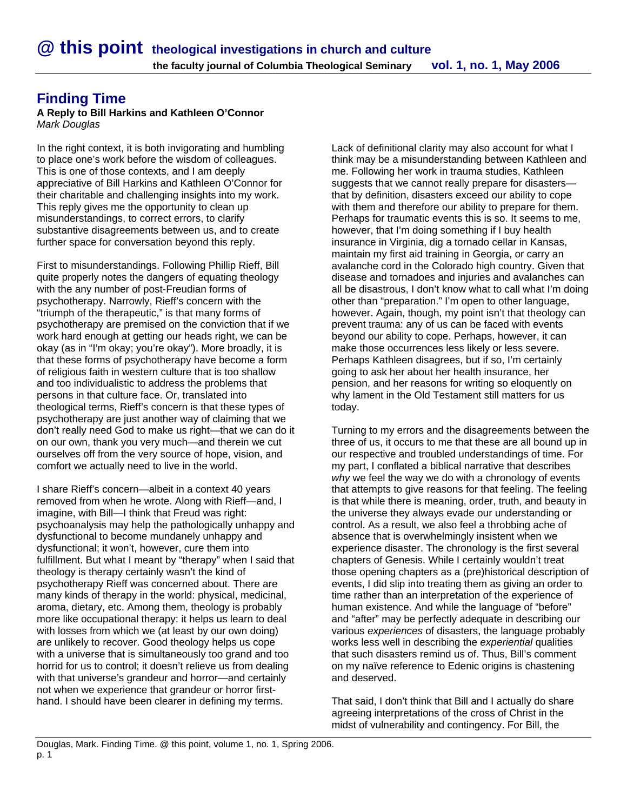## **Finding Time**

## **A Reply to Bill Harkins and Kathleen O'Connor**  *Mark Douglas*

In the right context, it is both invigorating and humbling to place one's work before the wisdom of colleagues. This is one of those contexts, and I am deeply appreciative of Bill Harkins and Kathleen O'Connor for their charitable and challenging insights into my work. This reply gives me the opportunity to clean up misunderstandings, to correct errors, to clarify substantive disagreements between us, and to create further space for conversation beyond this reply.

First to misunderstandings. Following Phillip Rieff, Bill quite properly notes the dangers of equating theology with the any number of post-Freudian forms of psychotherapy. Narrowly, Rieff's concern with the "triumph of the therapeutic," is that many forms of psychotherapy are premised on the conviction that if we work hard enough at getting our heads right, we can be okay (as in "I'm okay; you're okay"). More broadly, it is that these forms of psychotherapy have become a form of religious faith in western culture that is too shallow and too individualistic to address the problems that persons in that culture face. Or, translated into theological terms, Rieff's concern is that these types of psychotherapy are just another way of claiming that we don't really need God to make us right—that we can do it on our own, thank you very much—and therein we cut ourselves off from the very source of hope, vision, and comfort we actually need to live in the world.

I share Rieff's concern—albeit in a context 40 years removed from when he wrote. Along with Rieff—and, I imagine, with Bill—I think that Freud was right: psychoanalysis may help the pathologically unhappy and dysfunctional to become mundanely unhappy and dysfunctional; it won't, however, cure them into fulfillment. But what I meant by "therapy" when I said that theology is therapy certainly wasn't the kind of psychotherapy Rieff was concerned about. There are many kinds of therapy in the world: physical, medicinal, aroma, dietary, etc. Among them, theology is probably more like occupational therapy: it helps us learn to deal with losses from which we (at least by our own doing) are unlikely to recover. Good theology helps us cope with a universe that is simultaneously too grand and too horrid for us to control; it doesn't relieve us from dealing with that universe's grandeur and horror—and certainly not when we experience that grandeur or horror firsthand. I should have been clearer in defining my terms.

Lack of definitional clarity may also account for what I think may be a misunderstanding between Kathleen and me. Following her work in trauma studies, Kathleen suggests that we cannot really prepare for disasters that by definition, disasters exceed our ability to cope with them and therefore our ability to prepare for them. Perhaps for traumatic events this is so. It seems to me, however, that I'm doing something if I buy health insurance in Virginia, dig a tornado cellar in Kansas, maintain my first aid training in Georgia, or carry an avalanche cord in the Colorado high country. Given that disease and tornadoes and injuries and avalanches can all be disastrous, I don't know what to call what I'm doing other than "preparation." I'm open to other language, however. Again, though, my point isn't that theology can prevent trauma: any of us can be faced with events beyond our ability to cope. Perhaps, however, it can make those occurrences less likely or less severe. Perhaps Kathleen disagrees, but if so, I'm certainly going to ask her about her health insurance, her pension, and her reasons for writing so eloquently on why lament in the Old Testament still matters for us today.

Turning to my errors and the disagreements between the three of us, it occurs to me that these are all bound up in our respective and troubled understandings of time. For my part, I conflated a biblical narrative that describes *why* we feel the way we do with a chronology of events that attempts to give reasons for that feeling. The feeling is that while there is meaning, order, truth, and beauty in the universe they always evade our understanding or control. As a result, we also feel a throbbing ache of absence that is overwhelmingly insistent when we experience disaster. The chronology is the first several chapters of Genesis. While I certainly wouldn't treat those opening chapters as a (pre)historical description of events, I did slip into treating them as giving an order to time rather than an interpretation of the experience of human existence. And while the language of "before" and "after" may be perfectly adequate in describing our various *experiences* of disasters, the language probably works less well in describing the *experiential* qualities that such disasters remind us of. Thus, Bill's comment on my naïve reference to Edenic origins is chastening and deserved.

That said, I don't think that Bill and I actually do share agreeing interpretations of the cross of Christ in the midst of vulnerability and contingency. For Bill, the